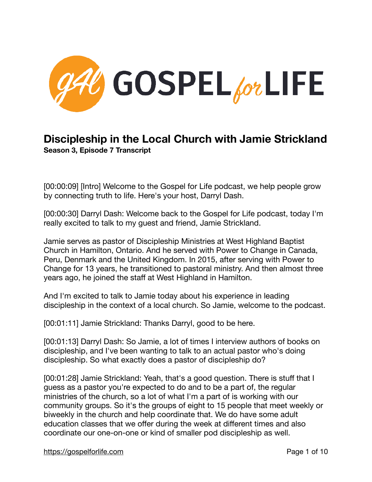

## **Discipleship in the Local Church with Jamie Strickland Season 3, Episode 7 Transcript**

[00:00:09] [Intro] Welcome to the Gospel for Life podcast, we help people grow by connecting truth to life. Here's your host, Darryl Dash.

[00:00:30] Darryl Dash: Welcome back to the Gospel for Life podcast, today I'm really excited to talk to my guest and friend, Jamie Strickland.

Jamie serves as pastor of Discipleship Ministries at West Highland Baptist Church in Hamilton, Ontario. And he served with Power to Change in Canada, Peru, Denmark and the United Kingdom. In 2015, after serving with Power to Change for 13 years, he transitioned to pastoral ministry. And then almost three years ago, he joined the staff at West Highland in Hamilton.

And I'm excited to talk to Jamie today about his experience in leading discipleship in the context of a local church. So Jamie, welcome to the podcast.

[00:01:11] Jamie Strickland: Thanks Darryl, good to be here.

[00:01:13] Darryl Dash: So Jamie, a lot of times I interview authors of books on discipleship, and I've been wanting to talk to an actual pastor who's doing discipleship. So what exactly does a pastor of discipleship do?

[00:01:28] Jamie Strickland: Yeah, that's a good question. There is stuff that I guess as a pastor you're expected to do and to be a part of, the regular ministries of the church, so a lot of what I'm a part of is working with our community groups. So it's the groups of eight to 15 people that meet weekly or biweekly in the church and help coordinate that. We do have some adult education classes that we offer during the week at different times and also coordinate our one-on-one or kind of smaller pod discipleship as well.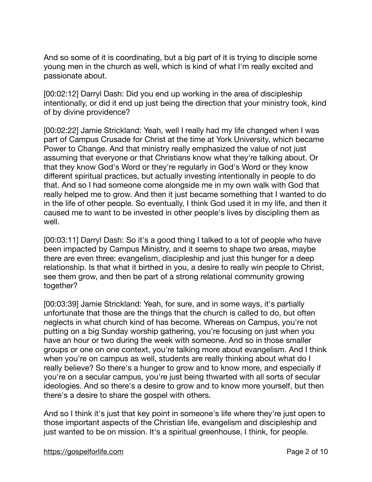And so some of it is coordinating, but a big part of it is trying to disciple some young men in the church as well, which is kind of what I'm really excited and passionate about.

[00:02:12] Darryl Dash: Did you end up working in the area of discipleship intentionally, or did it end up just being the direction that your ministry took, kind of by divine providence?

[00:02:22] Jamie Strickland: Yeah, well I really had my life changed when I was part of Campus Crusade for Christ at the time at York University, which became Power to Change. And that ministry really emphasized the value of not just assuming that everyone or that Christians know what they're talking about. Or that they know God's Word or they're regularly in God's Word or they know different spiritual practices, but actually investing intentionally in people to do that. And so I had someone come alongside me in my own walk with God that really helped me to grow. And then it just became something that I wanted to do in the life of other people. So eventually, I think God used it in my life, and then it caused me to want to be invested in other people's lives by discipling them as well.

[00:03:11] Darryl Dash: So it's a good thing I talked to a lot of people who have been impacted by Campus Ministry, and it seems to shape two areas, maybe there are even three: evangelism, discipleship and just this hunger for a deep relationship. Is that what it birthed in you, a desire to really win people to Christ, see them grow, and then be part of a strong relational community growing together?

[00:03:39] Jamie Strickland: Yeah, for sure, and in some ways, it's partially unfortunate that those are the things that the church is called to do, but often neglects in what church kind of has become. Whereas on Campus, you're not putting on a big Sunday worship gathering, you're focusing on just when you have an hour or two during the week with someone. And so in those smaller groups or one on one context, you're talking more about evangelism. And I think when you're on campus as well, students are really thinking about what do I really believe? So there's a hunger to grow and to know more, and especially if you're on a secular campus, you're just being thwarted with all sorts of secular ideologies. And so there's a desire to grow and to know more yourself, but then there's a desire to share the gospel with others.

And so I think it's just that key point in someone's life where they're just open to those important aspects of the Christian life, evangelism and discipleship and just wanted to be on mission. It's a spiritual greenhouse, I think, for people.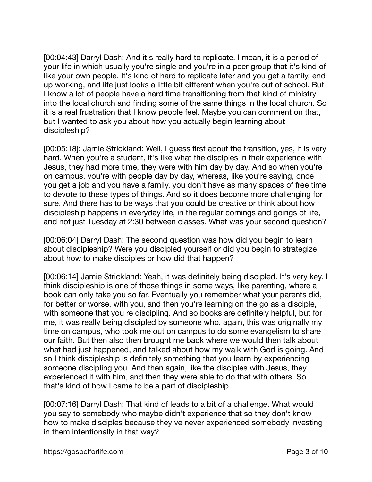[00:04:43] Darryl Dash: And it's really hard to replicate. I mean, it is a period of your life in which usually you're single and you're in a peer group that it's kind of like your own people. It's kind of hard to replicate later and you get a family, end up working, and life just looks a little bit different when you're out of school. But I know a lot of people have a hard time transitioning from that kind of ministry into the local church and finding some of the same things in the local church. So it is a real frustration that I know people feel. Maybe you can comment on that, but I wanted to ask you about how you actually begin learning about discipleship?

[00:05:18]: Jamie Strickland: Well, I guess first about the transition, yes, it is very hard. When you're a student, it's like what the disciples in their experience with Jesus, they had more time, they were with him day by day. And so when you're on campus, you're with people day by day, whereas, like you're saying, once you get a job and you have a family, you don't have as many spaces of free time to devote to these types of things. And so it does become more challenging for sure. And there has to be ways that you could be creative or think about how discipleship happens in everyday life, in the regular comings and goings of life, and not just Tuesday at 2:30 between classes. What was your second question?

[00:06:04] Darryl Dash: The second question was how did you begin to learn about discipleship? Were you discipled yourself or did you begin to strategize about how to make disciples or how did that happen?

[00:06:14] Jamie Strickland: Yeah, it was definitely being discipled. It's very key. I think discipleship is one of those things in some ways, like parenting, where a book can only take you so far. Eventually you remember what your parents did, for better or worse, with you, and then you're learning on the go as a disciple, with someone that you're discipling. And so books are definitely helpful, but for me, it was really being discipled by someone who, again, this was originally my time on campus, who took me out on campus to do some evangelism to share our faith. But then also then brought me back where we would then talk about what had just happened, and talked about how my walk with God is going. And so I think discipleship is definitely something that you learn by experiencing someone discipling you. And then again, like the disciples with Jesus, they experienced it with him, and then they were able to do that with others. So that's kind of how I came to be a part of discipleship.

[00:07:16] Darryl Dash: That kind of leads to a bit of a challenge. What would you say to somebody who maybe didn't experience that so they don't know how to make disciples because they've never experienced somebody investing in them intentionally in that way?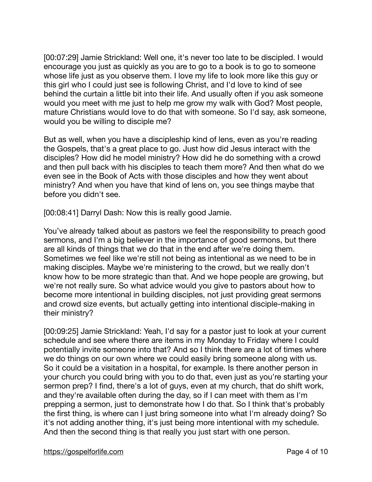[00:07:29] Jamie Strickland: Well one, it's never too late to be discipled. I would encourage you just as quickly as you are to go to a book is to go to someone whose life just as you observe them. I love my life to look more like this guy or this girl who I could just see is following Christ, and I'd love to kind of see behind the curtain a little bit into their life. And usually often if you ask someone would you meet with me just to help me grow my walk with God? Most people, mature Christians would love to do that with someone. So I'd say, ask someone, would you be willing to disciple me?

But as well, when you have a discipleship kind of lens, even as you're reading the Gospels, that's a great place to go. Just how did Jesus interact with the disciples? How did he model ministry? How did he do something with a crowd and then pull back with his disciples to teach them more? And then what do we even see in the Book of Acts with those disciples and how they went about ministry? And when you have that kind of lens on, you see things maybe that before you didn't see.

[00:08:41] Darryl Dash: Now this is really good Jamie.

You've already talked about as pastors we feel the responsibility to preach good sermons, and I'm a big believer in the importance of good sermons, but there are all kinds of things that we do that in the end after we're doing them. Sometimes we feel like we're still not being as intentional as we need to be in making disciples. Maybe we're ministering to the crowd, but we really don't know how to be more strategic than that. And we hope people are growing, but we're not really sure. So what advice would you give to pastors about how to become more intentional in building disciples, not just providing great sermons and crowd size events, but actually getting into intentional disciple-making in their ministry?

[00:09:25] Jamie Strickland: Yeah, I'd say for a pastor just to look at your current schedule and see where there are items in my Monday to Friday where I could potentially invite someone into that? And so I think there are a lot of times where we do things on our own where we could easily bring someone along with us. So it could be a visitation in a hospital, for example. Is there another person in your church you could bring with you to do that, even just as you're starting your sermon prep? I find, there's a lot of guys, even at my church, that do shift work, and they're available often during the day, so if I can meet with them as I'm prepping a sermon, just to demonstrate how I do that. So I think that's probably the first thing, is where can I just bring someone into what I'm already doing? So it's not adding another thing, it's just being more intentional with my schedule. And then the second thing is that really you just start with one person.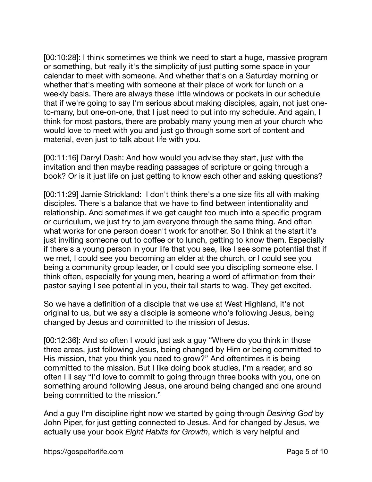[00:10:28]: I think sometimes we think we need to start a huge, massive program or something, but really it's the simplicity of just putting some space in your calendar to meet with someone. And whether that's on a Saturday morning or whether that's meeting with someone at their place of work for lunch on a weekly basis. There are always these little windows or pockets in our schedule that if we're going to say I'm serious about making disciples, again, not just oneto-many, but one-on-one, that I just need to put into my schedule. And again, I think for most pastors, there are probably many young men at your church who would love to meet with you and just go through some sort of content and material, even just to talk about life with you.

[00:11:16] Darryl Dash: And how would you advise they start, just with the invitation and then maybe reading passages of scripture or going through a book? Or is it just life on just getting to know each other and asking questions?

[00:11:29] Jamie Strickland: I don't think there's a one size fits all with making disciples. There's a balance that we have to find between intentionality and relationship. And sometimes if we get caught too much into a specific program or curriculum, we just try to jam everyone through the same thing. And often what works for one person doesn't work for another. So I think at the start it's just inviting someone out to coffee or to lunch, getting to know them. Especially if there's a young person in your life that you see, like I see some potential that if we met, I could see you becoming an elder at the church, or I could see you being a community group leader, or I could see you discipling someone else. I think often, especially for young men, hearing a word of affirmation from their pastor saying I see potential in you, their tail starts to wag. They get excited.

So we have a definition of a disciple that we use at West Highland, it's not original to us, but we say a disciple is someone who's following Jesus, being changed by Jesus and committed to the mission of Jesus.

[00:12:36]: And so often I would just ask a guy "Where do you think in those three areas, just following Jesus, being changed by Him or being committed to His mission, that you think you need to grow?" And oftentimes it is being committed to the mission. But I like doing book studies, I'm a reader, and so often I'll say "I'd love to commit to going through three books with you, one on something around following Jesus, one around being changed and one around being committed to the mission."

And a guy I'm discipline right now we started by going through *Desiring God* by John Piper, for just getting connected to Jesus. And for changed by Jesus, we actually use your book *Eight Habits for Growth*, which is very helpful and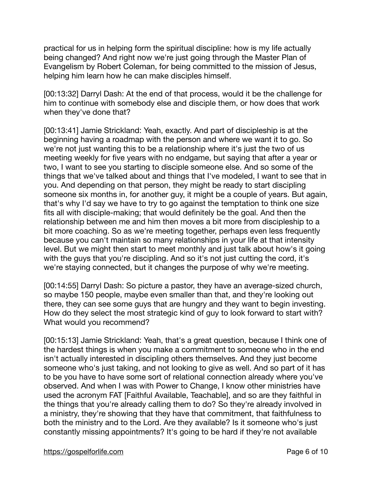practical for us in helping form the spiritual discipline: how is my life actually being changed? And right now we're just going through the Master Plan of Evangelism by Robert Coleman, for being committed to the mission of Jesus, helping him learn how he can make disciples himself.

[00:13:32] Darryl Dash: At the end of that process, would it be the challenge for him to continue with somebody else and disciple them, or how does that work when they've done that?

[00:13:41] Jamie Strickland: Yeah, exactly. And part of discipleship is at the beginning having a roadmap with the person and where we want it to go. So we're not just wanting this to be a relationship where it's just the two of us meeting weekly for five years with no endgame, but saying that after a year or two, I want to see you starting to disciple someone else. And so some of the things that we've talked about and things that I've modeled, I want to see that in you. And depending on that person, they might be ready to start discipling someone six months in, for another guy, it might be a couple of years. But again, that's why I'd say we have to try to go against the temptation to think one size fits all with disciple-making; that would definitely be the goal. And then the relationship between me and him then moves a bit more from discipleship to a bit more coaching. So as we're meeting together, perhaps even less frequently because you can't maintain so many relationships in your life at that intensity level. But we might then start to meet monthly and just talk about how's it going with the guys that you're discipling. And so it's not just cutting the cord, it's we're staying connected, but it changes the purpose of why we're meeting.

[00:14:55] Darryl Dash: So picture a pastor, they have an average-sized church, so maybe 150 people, maybe even smaller than that, and they're looking out there, they can see some guys that are hungry and they want to begin investing. How do they select the most strategic kind of guy to look forward to start with? What would you recommend?

[00:15:13] Jamie Strickland: Yeah, that's a great question, because I think one of the hardest things is when you make a commitment to someone who in the end isn't actually interested in discipling others themselves. And they just become someone who's just taking, and not looking to give as well. And so part of it has to be you have to have some sort of relational connection already where you've observed. And when I was with Power to Change, I know other ministries have used the acronym FAT [Faithful Available, Teachable], and so are they faithful in the things that you're already calling them to do? So they're already involved in a ministry, they're showing that they have that commitment, that faithfulness to both the ministry and to the Lord. Are they available? Is it someone who's just constantly missing appointments? It's going to be hard if they're not available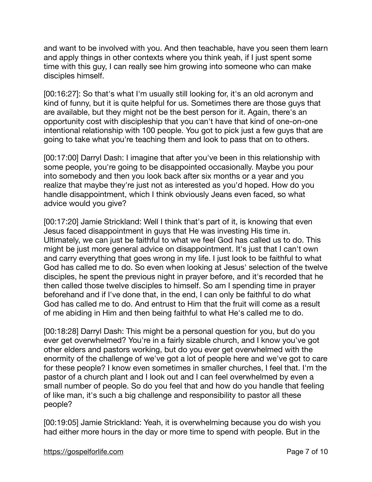and want to be involved with you. And then teachable, have you seen them learn and apply things in other contexts where you think yeah, if I just spent some time with this guy, I can really see him growing into someone who can make disciples himself.

[00:16:27]: So that's what I'm usually still looking for, it's an old acronym and kind of funny, but it is quite helpful for us. Sometimes there are those guys that are available, but they might not be the best person for it. Again, there's an opportunity cost with discipleship that you can't have that kind of one-on-one intentional relationship with 100 people. You got to pick just a few guys that are going to take what you're teaching them and look to pass that on to others.

[00:17:00] Darryl Dash: I imagine that after you've been in this relationship with some people, you're going to be disappointed occasionally. Maybe you pour into somebody and then you look back after six months or a year and you realize that maybe they're just not as interested as you'd hoped. How do you handle disappointment, which I think obviously Jeans even faced, so what advice would you give?

[00:17:20] Jamie Strickland: Well I think that's part of it, is knowing that even Jesus faced disappointment in guys that He was investing His time in. Ultimately, we can just be faithful to what we feel God has called us to do. This might be just more general advice on disappointment. It's just that I can't own and carry everything that goes wrong in my life. I just look to be faithful to what God has called me to do. So even when looking at Jesus' selection of the twelve disciples, he spent the previous night in prayer before, and it's recorded that he then called those twelve disciples to himself. So am I spending time in prayer beforehand and if I've done that, in the end, I can only be faithful to do what God has called me to do. And entrust to Him that the fruit will come as a result of me abiding in Him and then being faithful to what He's called me to do.

[00:18:28] Darryl Dash: This might be a personal question for you, but do you ever get overwhelmed? You're in a fairly sizable church, and I know you've got other elders and pastors working, but do you ever get overwhelmed with the enormity of the challenge of we've got a lot of people here and we've got to care for these people? I know even sometimes in smaller churches, I feel that. I'm the pastor of a church plant and I look out and I can feel overwhelmed by even a small number of people. So do you feel that and how do you handle that feeling of like man, it's such a big challenge and responsibility to pastor all these people?

[00:19:05] Jamie Strickland: Yeah, it is overwhelming because you do wish you had either more hours in the day or more time to spend with people. But in the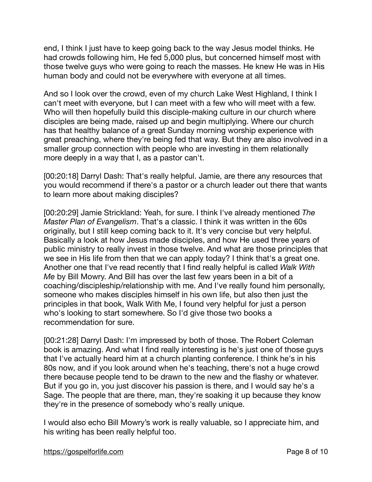end, I think I just have to keep going back to the way Jesus model thinks. He had crowds following him, He fed 5,000 plus, but concerned himself most with those twelve guys who were going to reach the masses. He knew He was in His human body and could not be everywhere with everyone at all times.

And so I look over the crowd, even of my church Lake West Highland, I think I can't meet with everyone, but I can meet with a few who will meet with a few. Who will then hopefully build this disciple-making culture in our church where disciples are being made, raised up and begin multiplying. Where our church has that healthy balance of a great Sunday morning worship experience with great preaching, where they're being fed that way. But they are also involved in a smaller group connection with people who are investing in them relationally more deeply in a way that I, as a pastor can't.

[00:20:18] Darryl Dash: That's really helpful. Jamie, are there any resources that you would recommend if there's a pastor or a church leader out there that wants to learn more about making disciples?

[00:20:29] Jamie Strickland: Yeah, for sure. I think I've already mentioned *The Master Plan of Evangelism*. That's a classic. I think it was written in the 60s originally, but I still keep coming back to it. It's very concise but very helpful. Basically a look at how Jesus made disciples, and how He used three years of public ministry to really invest in those twelve. And what are those principles that we see in His life from then that we can apply today? I think that's a great one. Another one that I've read recently that I find really helpful is called *Walk With Me* by Bill Mowry. And Bill has over the last few years been in a bit of a coaching/discipleship/relationship with me. And I've really found him personally, someone who makes disciples himself in his own life, but also then just the principles in that book, Walk With Me, I found very helpful for just a person who's looking to start somewhere. So I'd give those two books a recommendation for sure.

[00:21:28] Darryl Dash: I'm impressed by both of those. The Robert Coleman book is amazing. And what I find really interesting is he's just one of those guys that I've actually heard him at a church planting conference. I think he's in his 80s now, and if you look around when he's teaching, there's not a huge crowd there because people tend to be drawn to the new and the flashy or whatever. But if you go in, you just discover his passion is there, and I would say he's a Sage. The people that are there, man, they're soaking it up because they know they're in the presence of somebody who's really unique.

I would also echo Bill Mowry's work is really valuable, so I appreciate him, and his writing has been really helpful too.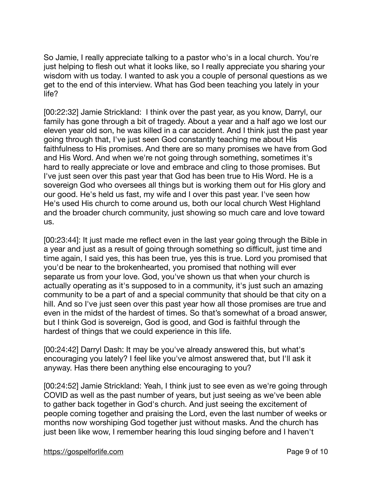So Jamie, I really appreciate talking to a pastor who's in a local church. You're just helping to flesh out what it looks like, so I really appreciate you sharing your wisdom with us today. I wanted to ask you a couple of personal questions as we get to the end of this interview. What has God been teaching you lately in your life?

[00:22:32] Jamie Strickland: I think over the past year, as you know, Darryl, our family has gone through a bit of tragedy. About a year and a half ago we lost our eleven year old son, he was killed in a car accident. And I think just the past year going through that, I've just seen God constantly teaching me about His faithfulness to His promises. And there are so many promises we have from God and His Word. And when we're not going through something, sometimes it's hard to really appreciate or love and embrace and cling to those promises. But I've just seen over this past year that God has been true to His Word. He is a sovereign God who oversees all things but is working them out for His glory and our good. He's held us fast, my wife and I over this past year. I've seen how He's used His church to come around us, both our local church West Highland and the broader church community, just showing so much care and love toward us.

[00:23:44]: It just made me reflect even in the last year going through the Bible in a year and just as a result of going through something so difficult, just time and time again, I said yes, this has been true, yes this is true. Lord you promised that you'd be near to the brokenhearted, you promised that nothing will ever separate us from your love. God, you've shown us that when your church is actually operating as it's supposed to in a community, it's just such an amazing community to be a part of and a special community that should be that city on a hill. And so I've just seen over this past year how all those promises are true and even in the midst of the hardest of times. So that's somewhat of a broad answer, but I think God is sovereign, God is good, and God is faithful through the hardest of things that we could experience in this life.

[00:24:42] Darryl Dash: It may be you've already answered this, but what's encouraging you lately? I feel like you've almost answered that, but I'll ask it anyway. Has there been anything else encouraging to you?

[00:24:52] Jamie Strickland: Yeah, I think just to see even as we're going through COVID as well as the past number of years, but just seeing as we've been able to gather back together in God's church. And just seeing the excitement of people coming together and praising the Lord, even the last number of weeks or months now worshiping God together just without masks. And the church has just been like wow, I remember hearing this loud singing before and I haven't